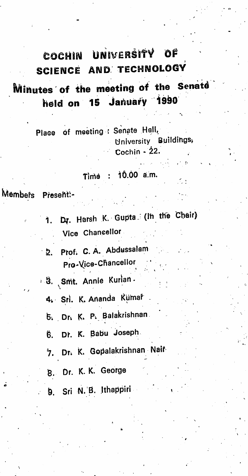## COCHIN UNIVERSITY OF SCIENCE AND TECHNOLOGY

## Minutes of the meeting of the Senate held on 15 January 1990

Place of meeting : Senate Hall, University Buildings, Cochin -  $22$ .

#### $: 10.00$  a.m. Time

Members Present:-

> Dr. Harsh K. Gupta (In the Chair) Vice Chancellor

2. Prof. C. A. Abdussalam Pro-Vice-Chancellor

8. Smt. Annie Kurian.

4. Sri. K. Ananda Kumal

5. Dr. K. P. Balakrishnan

Dr. K. Babu Joseph. Ĝ.

Dr. K. Gopalakrishnan Nair 7.

8. Dr. K. K. George

9. Sri N.B. Ithappiri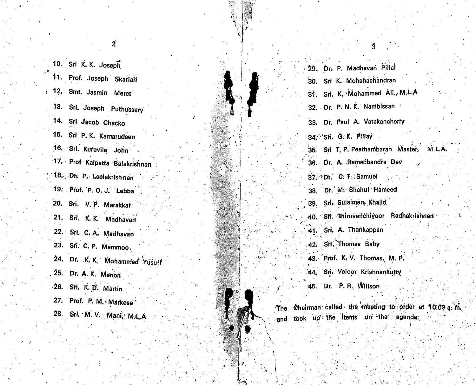10. Sri K. K. Joseph 11. Prof. Joseph Skarialf <sup>i</sup> 12. Smt. Jasmin Meret 13. Sri. Joseph Puthussery 14. Sri Jacob Chacko 15. Sri P. K. Kamarudeen 16. Srl. Kuruvila John 17. Prof Kalpatta Balakrishnan :48. Dr. P. Leelakrish nan 19. Prof. P. O. J. Lebba 20. Sri. V. P. Marakkar 21. Sri. K. K. Madhavan 22. Sri. C. A. Madhavan 23. Sri. C. P. Mammoo, 24. Dr. K. K. Mohammed Yusuff 25. Dr. A. K. Menon 26. Sri. K. D. Martin 27. Prof. P. M. Markose 28. Sri. M. V.; Mani, M.L.A

| 29. Dr. P. Madhavan Pillal                                                                     |
|------------------------------------------------------------------------------------------------|
| Sri K. Mohanachandran<br>30.                                                                   |
| 31. Sri. K. Mohammed Ali., M.L.A                                                               |
| 32. Dr. P. N. K. Nambissan                                                                     |
| 33. Dr. Paul A. Vatakancherry                                                                  |
| 34. Sti. G. K. Pillay                                                                          |
| 35. Sri T. P. Peethambaran Master, M.L.A.                                                      |
| 36. Dr. A. Ramachandra Dev                                                                     |
| 37. Dr. C. T. Samuel                                                                           |
| 38. Dr. M. Shahul Hameed                                                                       |
| 39. Srl. Sulaiman, Khalid                                                                      |
| 40. Sri. Thiruvanchiyoor Radhakrishnan                                                         |
| 41. Sri. A. Thankappan                                                                         |
| 42. Sri. Thomas Baby                                                                           |
| 43. Prof. K.V. Thomas, M.P.                                                                    |
| 44. Sri. Veloor Krishnankutty                                                                  |
| 45. Dr. P. R. Willson                                                                          |
| The Chairman called the meeting to order at 10.00 a. r<br>and took up the items on the agenda: |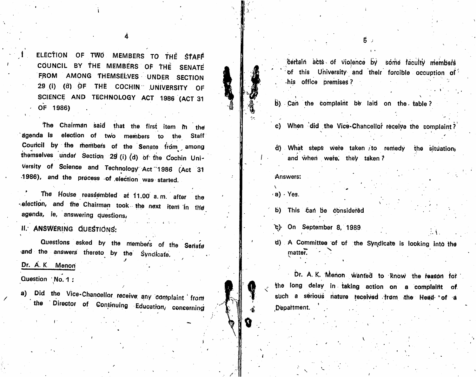čertain acts of violence by some faculty members of this University and their forcible occuption of -his office premises?

5 J

b) Can the complaint be laid on the table?

c) When did the Vice-Chancellor receive the complaint?

d) What steps were taken to remedy the situation, and when were, they taken?

## Answers:

 $(a)$ . Yes.

b) This can be considered

t) On September 8, 1989

d) A Committee of of the Syndicate is looking into the matter.

Dr. A. K. Menon wanted to know the reason for the long delay in taking action on a complaint of such a sérious nature received from the Head of a Department.

ELECTION OF TWO MEMBERS TO THE STAFF COUNCIL BY THE MEMBERS OF THE SENATE FROM AMONG THEMSELVES UNDER SECTION 29 (i) (d) OF THE COCHIN UNIVERSITY OF SCIENCE AND TECHNOLOGY ACT 1986 (ACT 31 OF 1986)

The Chairman said that the first item in the acenda is election of two members to the Staff Council by the members of the Senate from among themselves under Section 29 (i) (d) of the Cochin Uni-Versity of Science and Technology Act 1986 (Act 31 1986), and the process of election was started.

The House reassembled at 11.00 a.m. after the -election, and the Chairman took the next item in the agenda, ie, answering questions,

II. ANSWERING QUESTIONS:

Questions asked by the members of the Senate and the answers thereto by the Syndicate. Dr. A. K. Menon

Question No. 1:

a) Did the Vice-Chancellor receive any complaint from the Director of Continuing Education, concerning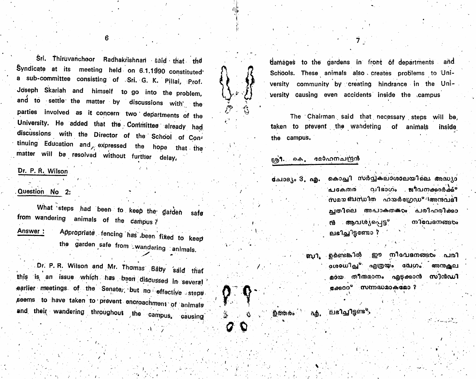Sri. Thiruvanchoor Radhakrishnan said that the Syndicate at its meeting held on 6.1.1990 constituted a sub-committee consisting of Sri. G. K. Pillai, Prof. Joseph Skariah and himself to go into the problem, and to settle the matter by discussions with the parties involved as it concern two departments of the University. He added that the Committee already had discussions with the Director of the School of Continuing Education and expressed the hope that the matter will be resolved without further delay,

## Dr. P. R. Wilson

## Question No 2:

What steps had been to keep the garden safe from wandering animals of the campus? Appropriate fencing has been fixed to keep Answer: the garden safe from wandering animals.

Dr. P. R. Wilson and Mr. Thomas Baby said that this is an issue which has been discussed in several earlier meetings of the Senate, but no effective steps seems to have taken to prevent encroachment of animals and their wandering throughout the campus, causing

damages to the gardens in front of departments and Schools. These animals also creates problems to University community by creating hindrance in the University causing even accidents inside the campus

The Chairman said that necessary steps will be, taken to prevent the wandering of animals inside the campus.

## ശ്രീ. കെ. മോഹനചന്ദ്രൻ

болов с 3. п.е. കൊച്ചി സർവ്വകലാശാലയിലെ അദ്ധ്യാ വിഭാഗം ജീവനക്കാർക്ക്° പകേതര സമയ ബന്ധിത ഹയർഗ്രേഡ<sup>ം</sup> !അനുവദ**ി** ചതിലെ അപാകതക്രം പരിഹരിക്കാ ൻ ആവശ്യപെട്ട° നിവേദനങ്ങരം ലഭിച്ചിട്ടണ്ടോ ?

> ഉണ്ടെങ്കിൽ ഈ നിവേദനങ്ങ**ം** പരി ஸ். **ംശാധിച്ച് എത്രയം വേഗം അന**ക്ഷല മായ തീ**രുമാനം എട്ടക്കാൻ** സിൻഡി .<br>കേരെറ<sup>േ</sup> സന്നഭ്ധമാകമോ ?

്ലഭിച്ചിട്ടണ്ട<sup>്.</sup> හිතා  $\alpha$ ේ ñф.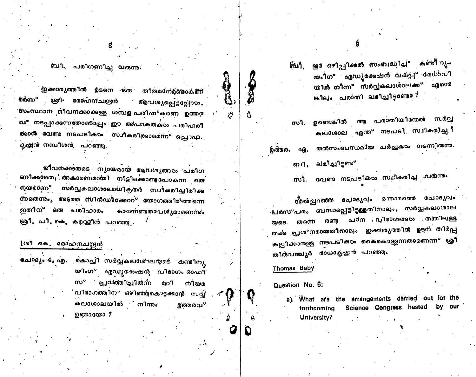ബി. പരിഗണിച്ച വരുന്നു.

ഇക്കാര്യത്തിൽ ഉടനെ ഒരു തീരുമഠനമുണ്ടാകണ് 60m° ശ്രീ• മോഹന്**ച**ന്ദ്രൻ ആവശ്യപ്പെട്ടപ്പോഠം, ww.cm2000 ജീവനക്കാക്കള്ള ശമ്പള പരിഷ°കരണ ഉത്തര വ" നടപ്പാക്കന്നതോടൊപ്പം ഈ അപാകതക്ഠം പരിഹരി ക്<mark>കാന</mark>് വേണ്ട നടപടിക**ം സ്വീകരിക്കാമെന്ന° പ്രൊഫ്**. കൃഷ്ണൻ നമ്പീശൻ, **പ**റഞ്ഞ.

ജീവനക്കാരുടെ ന്യായമായ ആവശ്യങ്ങ $\infty$  പരിഗ <mark>ണിക്ക</mark>ാതെ, അകാരണമായി നീട്ടിക്കൊണ്ടപോകന്ന ഒര സർവ്വകലാശാലാധികൃതർ സചീകരിച്ചിരിക്ക നയമാണ്<sup>യ</sup> ന്നതെന്നും അടത്ത സിൻഡിക്കോറ° യോഗത്തിൽത്തന്നെ ഇതിന<sup>്</sup> ഒരു പരിഹാരം കാണേണ്ടത**ാ**ചൾൃമാണെന്നും ശ്രീ. പി. കെ. കമറുളീൻ പറഞ്ഞു.

## (ശീ കെ. മോഹനചന്ദ്രൻ

ചോദ്യം 4, എ. . കൊച്ചി സർവ്വകലാശ്ഘയടെ കണ്ടിനു യിംഗ° എഡ്യക്കേഷൻ, വിഭാഗം ഓഫീ സ° പ്രവത്തിച്ചിരുന്ന മറി നിയമ വിഭാഗത്തിന്ന ഒഴിഞ്ഞുകൊടുക്കാൻ സവ് കലാശാലയിൽ നിന്നം ളത്തരവ<sup>ം</sup> ഉണ്ടായോ ?

യം1്ഗ" എഡ്യൂക്കേഷൻ വകുപ്പ<sup>ം</sup> മേധാവി യിൽ നിന്ന" സർവ്വകലാൾാലക്ക<sup>ം</sup> എന്തെ കിലം പരാതി ലഭിച്ചിട്ടണ്ടോ?

ആ പരാതിയിന്മേൽ സർവ്വ ഉണ്ടെങ്കിൽ സി. കലാശാല എന്ത° നടപടി സ്ഥീകരിച്ച*ു* തൽസംബന്ധമായ പർച്ചകഠം നടന്നിരുന്നു. ഫി.

ലഭിച്ചിട്ടണ്ട<sup>ം</sup> ்.

വേണ്ട**ം നടപടിക**ാം സചീകരിച്ച ംവരുന്നും ოა .

ത്മൽപ്പറഞ്ഞ ചോദ്യവം ഒന്നാമത്തെ ചോദ്യവും പരസ°പരം ബന്ധപ്പെട്ടിട്ടുള്ളതിനാലും, സർവ്വകലാശാല യുടെ തന്നെ രണ്ട പഠന വിഭാഗങ്ങ**ം** തമ്മിലുള്ള തക്ക പ്രശ<sup>ം</sup>നമായതീനാലം ഇക്കാര്യത്തിൽ ഉട്ടൻ തിർപ്പ കല്പിക്കാരുള്ള നടപടിക**ം കൈകൊള്ളന്നതാണെന്ന**് ശ്രീ തിർദവഞ്ചൂർ ർാധാകൃഷ്ണൻ പറഞ്ഞു.

#### Thomas Baby

**தன்க**ை

Ď

Question No. 5:

a). What afe the arrangements carried out for the Science Congress hasted by our forthcoming University?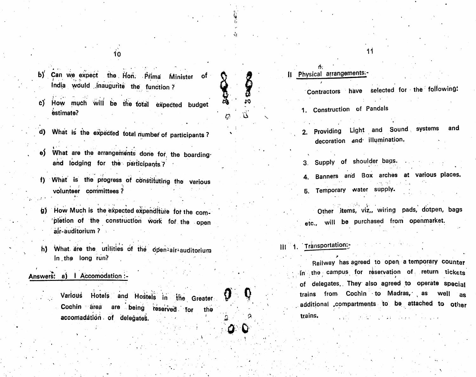b) Can we expect the Hon. Pfima Minister of (ndia would .Jnaugurite the function?

10

- d)' How much will be the total expedted budget estimate?
- d) What is the expected total number of participants?
- e) What are the arrangements done for the boardingand lodging for the participants ?
- i) What is the progress of constituting the Various volunteer committees?
- g) How Much is the expected expenditure for the completion of the construction Work for the open air-auditorium ?
- h) What are the utilities of the open-air-auditorium in the long run?

## Answers: a) | Accomodation :-

Various Hotels and Hostels in the Greater  $\mathbf{\mathcal{P}}$   $\mathbf{\mathcal{Q}}$ the ' Cochin area are being reserved for accomadátion of delegates.

# Physical arrangements:-

%

10

**CHANGE** 

 $\Omega^{-1}$ .!tS>

 $\Lambda$  and  $\sim$  and  $\sim$  and  $\sim$  and  $\sim$  and  $\sim$ 

 $\ddot{\phantom{1}}$ 

Contractors have selected for the following:

11

- 1. Construction of Pandals
- and 2. Providing Light and Sound systems decoration and' illumination.
- 3. Supply of shoulder bags,
- 4. Banners and Box arches at various places.
- 6. Temporary water supply.

Other items, viz,, wiring pads, dotpen, bags etc. will be purchased from openmarket.

## III 1. Transportation:

Railway has agreed to open a temporary counter  $\mathsf{in}$  the campus for reservation of return tickets of delegates.. They also agreed to operate special trains from Cochin to Madras, as additional compartments to be attached to other trains.  $\begin{bmatrix} 1 & 1 & 1 \\ 1 & 1 & 1 \end{bmatrix}$ well as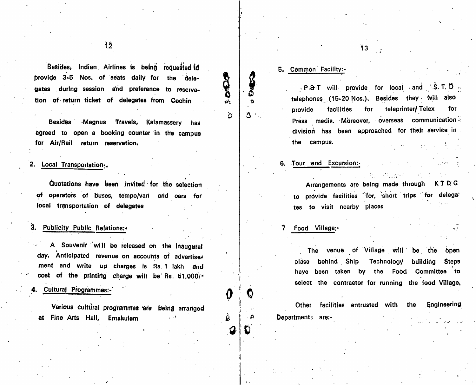Besides, Indian Airlines is being requested to provide 3-5 Nos. of seats daily for the delegates during session and preference to reservation of return ticket of delegates from Cochin

Besides Magnus Travels, Kalamassery has agreed to open a booking counter in the campus for Air/Rail return reservation.

Quotations have been Invited for the selection of operators of buses, tempo/vari and oars for local transportation of delegates

## 3. Publicity Public Relations:

A Souvenir will be released on the Inaugural day. Anticipated revenue on accounts of advertise. ment and write up charges Is Rs. 1 lakh and cost of the printing charge will be Rs. 51,000/-

## 4. Cultural Programmes:-

Various cultural programmes are being arranged at Fine Arts Hall, Ernakulam

## 5. Common Facility:-

 $\bullet$ 

 $\Delta$ 

 $\mathcal{Q} \mid \mathcal{Q}$ 

₩

 $\sigma$  18

**CACCA** 

۵ŀ.

 $\sim$  P.& T will provide for local and  $\sim$  S.T. D telephones  $(15-20$  Nos.). Besides they will also provide facilities for teleprinter/ Telex for Press media. Moreover, overseas communication division has been approached for their service in the campus.

13

Local Transportation: 2. Local Transportation: 2. Local Transportation: 2. Local Transportation:

Arrangements are being made through K T D C provide facilities 'for, short trips for delega' tes to visit nearby places

 $\mathcal{L}_{\text{max}}$  , and  $\mathcal{L}_{\text{max}}$ 

The venue of Village will be the open plase behind Ship Technology building Steps I have been taken by the Food Committee to select the contractor for running the food Village,

Other facilities entrusted with the Engineering Department 3 are:-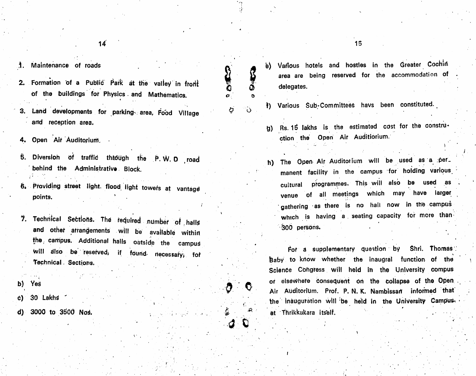$14$ 

## .1. Maintenance of roads

- 2. Formation of a Public Park at the valley in front of the buildings for Physics. and Mathematics.
- Land developments for parking- area. Food Village 3. and reception area.
- 4. Open Air Auditorium,
- 5. Diversion of traffic thiough the P.W.D road behind the Administrative Block.
- Providing street light, flood light towefs at vantage points.
- 2. Technical Sections. The required number of halls and other arrangements will be available within the, campus. Additional halls outside the c ampus will also be reserved, if found necessary, for Technical . Sections.

I

- b) Yes
- 30 Lakhs
- d) 3000 to 3500 NoS.
- b) Various hotels and hostles in the Greater Cochin area are being reserved for the accommodation of delegates.
- f) Various Sub-Committees havs been constituted.

 $\ddot{\mathbf{0}}$ 

 $\langle$ 

 $\mathbf{a}$  :

I

 $\bullet$  :  $\bullet$ 

o o

b

g) Rs. 15 lakhs is the estimated cost for the construction the Open Air Auditiorium.

i

h) The Open Air Auditorium will be used as a per<sub>-</sub> manent facility in the campus for holding various cultural programmes. This will also be used as venue of all meetings which may have larger gathering as there is no hall now in the campus which is having a seating capacity for more than 300 persons.

For a supplementary question by Shri. Thomas feaby to know whether the inaugral function of the \ Science Congress will held in the University compus or elsewhere consequent on the collapse of the Open Air Auditorium. Prof. P. N. K. Nambissan informed that the inauguration will be held in the University Campusat Thrikkukara itself.

15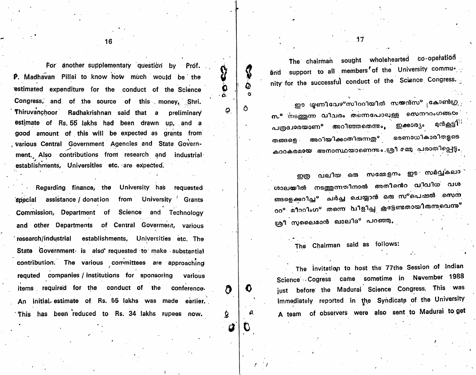The chairman sought wholehearted co-operation and support to all members of the University community for the successful conduct of the Science Congress.

n

Ô

0.

Ô

Ð

ഈ **യ്യണിവേഴ°സിററിയിൽ സയൻസ°** കോൺഗ്ര സ°്നടത്തുന്ന വിവരം തന്നെപോലുള്ള സെന**റ**ംഗങ്ങ**യ**് ഇക്കാര<sub>്യ</sub>ം മൻ<u>ക</u>ട്ടി<sup>;</sup> പത്രദ്വാരയാണ° അറിഞ്ഞതെന്ന**ം.** ഭരണാധികാരിതളടെ അറിയിക്കാതിരുന്നതു<sup>ം</sup> തങ്ങളെ . കുററകരമായ അനാസ്ഥയാണെന്നും ശ്രീ മമ്മു പരാതിപ്പെട്ടം

വലിയ ഒരു സമ്മേളനം ഈ സർവ്വകലാ ഇത്ര ശാലയിൽ നടത്തുന്നതിനാൽ അതിൻെറ വിവിധ വശ ങ്ങളെ*ക്ക*റിച്ച<sup>ം</sup> ചർച്ച ചെയ്യാൻ ഒരു സ<sup>ം</sup>പെഷൽ സെന ററ° മീററിംഗ° തന്നെ വിളിച്ച കൂടേണ്ടതായിരുന്നവെന്ന**°** ശ്രീ സുലൈമാൻ ഖാലിദ<sup>്ര</sup> പറഞ്ഞു.

The Chairman said as follows:

The invitation to host the 77the Session of Indian Science Cogress came sometime in November 1988 just before the Madural Science Congress. This was immediately reported in the Syndicate of the University A team of observers were also sent to Madural to get

16

For another supplementary question by Prof. P. Madhavan Pillai to know how much would be the estimated expenditure for the conduct of the Science Congress, and of the source of this money. Shri. Thiruvanchoor Radhakrishnan said that a preliminary estimate of Rs. 55 lakhs had been drawn up, and a good amount of this will be expected as grants from various Central Government Agencies and State Government. Also contributions from research and industrial establishments, Universities etc. are expected.

Regarding finance, the University has requested special assistance / donation from University Grants Commission, Department of Science and Technology and other Departments of Central Goverment, various research/industrial establishments, Universities etc. The State Government is also requested to make substantial contribution. The various committees are approaching requted companies / institutions for sponsoring various items required for the conduct of the conference. An initial estimate of Rs. 55 lakhs was made earlier. This has been reduced to Rs. 34 lakhs rupees now.

 $17$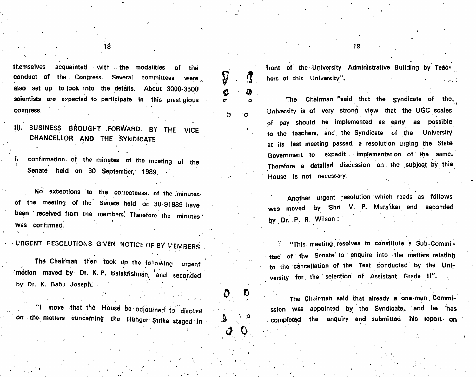themselves acquainted with the modalities of the conduct of the Congress. Several committees were also set up to look into the details. About 3000:3500 scientists are expected to participate in this prestigious

IIJ. BUSINESS BROUGHT FORWARD. BY THE CHANCELLOR AND THE SYNDICATE VICE

congress.

Senate held on 30 September, 1989.

 $\overline{ }$ No exceptions to the correctness, of the mlnutesof the meeting of the' Senate held on 30-91989 have been received from the members. Therefore the minutes was confirmed.

URGENT RESOLUTIONS GIVEN NOTICE OF BY MEMBERS

The Chairman then took up the following mbtion maved by Df. K. P. Balakfishnan, and seconded by Dr. K. Babu Joseph. urgent

**1** move that the House be odjourned to discuss the ssion was on the matters concerning the Hunger Strike staged in  $\mathcal{Q} \longrightarrow$ 

tront of the University Administrative Building by Teachers of this University".

M

 $\bullet$   $\bullet$ 

g

ÿ

a 0

p' o

 $\bm{G}$ 

<sup>V</sup> .

The Chairman "said that the syndicate of the, University is of very strong view that the UGC scales of pay should be implemented as early as possible to the teachers, and the Syndicate of the University at its last meeting passed, a resolution urging the State Government to expedit implementation of the same. confirmation of the minutes of the meeting of the meeting of the minutes of the minutes of the minutes of the meeting of the minutes of the meeting of the minutes of the meeting of the minutes of the minutes of the meeting House is not necessary.

> Another urgent resolution which reads as follows was moved by Shri v. r. M3rakkar and seconded by Dr. P. R. Wilson:

"This meeting resolves to constitute a Sub-Committee of the Senate to enquire into the matters relating to the cancellation of the Test conducted by the University for the selection of Assistant Grade II".

0 0 The Chairman said that already a one-man. Commission was appointed by the Syndicate, and he has - compietqd the enquiry and submitted his report on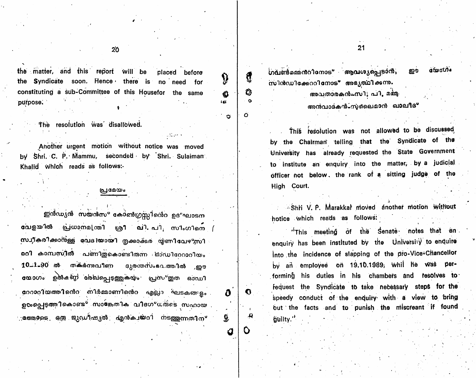matter, and this report will be the placed before the Syndicate soon. Hence there is no need for constituting a sub-Committee of this Housefor the same purpose.

The resolution was disallowed.

Another urgent motion without notice was moved by Shri. C. P. Mammu, seconded by Shri. Sulaiman Khalid which reads as follows:-

## പ്രദേയം

ഇൻഡ്യൻ സയൻസ° കോൺഗ്രസ്സിൻെറ ഉദ°ഘാടന വേളയിൽ പ്രധാനമ[ന്തി ശ്രീ വി. പി. സിംഗിനെ ( സ്വീകരിക്കാന്ള്ള വേദിയായി തുക്കാക്കര യ്യണിവേഴ<sub>്</sub>സി രറി കാമ്പസിൽ പണിത്കൊണ്ടിതന്ന ഓഡിറേറാറിയം 10.1.90 ൽ തകർന്നവീണ ദുരന്തസംഭവത്തിൽ ,ഈ യോഗം ഉൽകണ്ഠ രേഖപ്പെടുത്തുകയും പ്രസ°തുത ഓഡി റേറാറിയത്തിനെ നിർമ്മാണിനെ എല്ലാ ഘടകങളം ൭**๛**൭൮൳<del></del>൬ഁഀഀഩ൴൦൲ഀ഻൜ൎഋഩഁ൚ഽഁ൴഻൮ഀഀ൛൸഻൘൞ഺൕഀ൳൳഻൜൶൚ ്രത്തോടെ ഒ**ത്ര ജുഡീഷ്യൽ എൻക**ചയറി നടത്തുന്നതിന<sup>്</sup>

ഗവൺമെ്നറിനോട് ആവശ്യപ്പെടാൻ, സിൻഡിക്കേററിനോട് അഭ്യത്ഥിക്കുന്നം

ß

Ô.

iα

δ

Ø,

Ο

 $\boldsymbol{\sigma}$ 

 $\mathbf{a}$ 

Ô

 $\circ$ 

 $\mathcal{O}$ 

അവതാരകൻപസി; പി, മമ്മ

അൻവാദകൻ-സുപൈമാൻ ഖാലീദ്

This resolution was not allowed to be discussed by the Chairman telling that the Syndicate of the University has already requested the State Government to institute an enquiry into the matter, by a judicial officer not below, the rank of a sitting judge of the High Court.

Shri V. P. Marakkar moved another motion without hotice which reads as follows:

"This meeting of the Senate notes that an enquiry has been instituted by the University to enquire Into the incidence of slapping of the pro-Vice-Chancellor by an employee on 19.10.1989, whil he was performing his duties in his chambers and resolves to fequest the Syndicate to take necessary steps for the speedy conduct of the enduiry with a view to bring out the facts and to punish the miscreant if found guilty."

**GEOCUTO** 

ഈ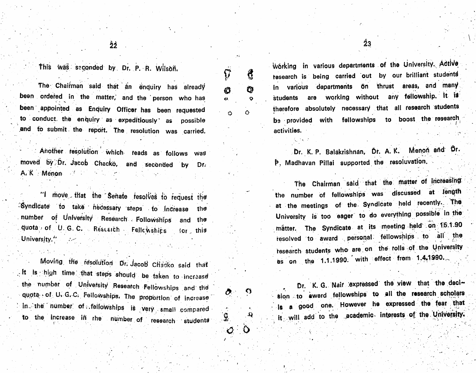$\widetilde{\Omega}$ 

Ø

 $\mathbf{a}$ 

Ó

₫

 $\mathbf 0$ 

 $\Omega$ 

 $\Omega$ 

Ô

Ō

ʻ9.

 $\bm{O}$ 

This was seconded by Dr. P. R. Wilson.

The Chairman said that an enquiry has already been ordered in the matter, and the person who has been appointed as Enquiry Officer has been requested to conduct the enquiry as expeditiously as possible and to submit the report. The resolution was carried.

Another resolution which reads as follows was moved by Dr. Jacob Chacko, and seconded by Dr. A. K. Menon de la component de la proponent de la proponent de la proponent de la proponent de la proponent de

"I move that the Senate resolves to request the Syndicate to take hecessary steps to increase the number of University Research Followships and the quota of U.G.C. Rescarch Fellowships for this University."

Moving the resolution Dr. Jacob Chacko said that . It is high time that steps should be taken to increase the number of University Research Fellowships and the quota of U. G. C. Fellowships. The proportion of increase In the number of fellowships is very small compared to the increase in rhe number of research students

Wörking in various departments of the University. Active research is being carried out by our brilliant students in various departments on thrust areas, and many are working without any fellowship. It is students therefore absolutely necessary that all research students be provided with fellowships to boost the research activities.

Dr. K. P. Balakrishnan, Dr. A. K. Menon and Dr. P. Madhavan Pillai supported the resoluvation.

The Chairman said that the matter of increasing the number of fellowships was discussed at length at the meetings of the Syndicate held recently. The University is too eager to do everything possible in the matter. The Syndicate at its meeting held on 15.1.90 resolved to award personal fellowships to all the research students who are on the rolls of the University as on the 1.1.1990. with effect from 1.4.1990.

sion to award fellowships to all the research scholars is a good one. However he expressed the fear that it will add to the academic interests of the University.

Dr. K. G. Nair expressed the view that the deci-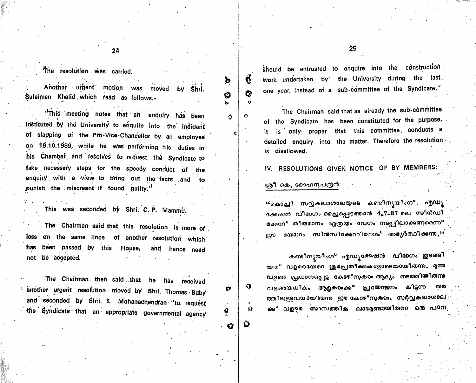$25$ 

The resolution was carried.

Another urgent motion was moved by Shri. Sulaiman Khalid which read as follows.-

24

"This meeting notes that an enquiry has been instituted by the University to enquire into the indident of slapping of the Pro-Vice-Chancellor by an employee on 19.10.1989, while he was performing his duties in his Chamber and resolves to request the Syndicate to take necessary steps for the speedy conduct of the enquiry with a view to bring out the facts and punish the miscreant if found guilty."

This was seconded by Shri, C. P. Mammu.

The Chairman said that this resolution is more of less on the same lince of another resolution which has been passed by this House, and hence need not be accepted.

The Chairman then said that he has received another urgent resolution moved by Shri. Thomas Baby and seconded by Shri. K. Mohanachandran "to request the Syndicate that an appropriate governmental agency should be entrusted to enquire into the construction work undertaken by the University during the last one year, instead of a sub-committee of the Syndicate."

The Chairman said that as already the sub-committee of the Syndicate has been constituted for the purpose, it is only proper that this committee conducts a detailed enquiry into the matter. Therefore the resolution is disallowed.

IV. RESOLUTIONS GIVEN NOTICE OF BY MEMBERS:

### ശ്രീ കെ. മോഹനചന്ദ്രൻ

 $\mathbf{b}$ 

Ю

Ö

Q

O

 $\circ$ 

O

 $\Omega$ 

O

Ø

 $\mathbf{G}$ 

Ġ

 $\circ$ 

<sup>ະເ</sup>കൊച്ചി സവ്വകലാശാലയുടെ കണ്ടിന്യയിംഗ° എഡ്യ ക്കേഷൻ വിഭാഗം മെച്ചപ്പെടഞ്ഞാൻ 4.7.87 ലെ സിൻഡി ക്കേററ° തീരുമാനം എത്രയം വേഗം നടപ്പിലാക്കണമെന്ന° ഈ യോഗം സിൻസിക്കേററിനോട് അഭ്യർത്ഥിക്കുന്നു."

കണ്ടിനൃയിംഗ<sup>ം</sup> എഡ്യക്കേഷൻ വിഭാഗം **തുടങ്ങി** യത° വളരെയേറെ ശ്രപ്പേതീക്ഷകളോടെയായിരുന്നു. മൃന്നു വളരെ പ്രധാനപ്പെട്ട കോഴ°സുകഠം ആദ്യം നടത്തിയിരുന്നു വളരെയധികം ആളക**ം**ക്ക<sup>ം</sup> പ്രയോജനം കിട്ടന്ന തര ത്തിലുള്ളവയായിരുന്നു ഈ കോഴ°സുക്കം. സർവ്വകലാശാല ക്ക° വളരെ സാമ്പത്തിക ലാഭമണ്ടായിരുന്ന ഒരു പഠന